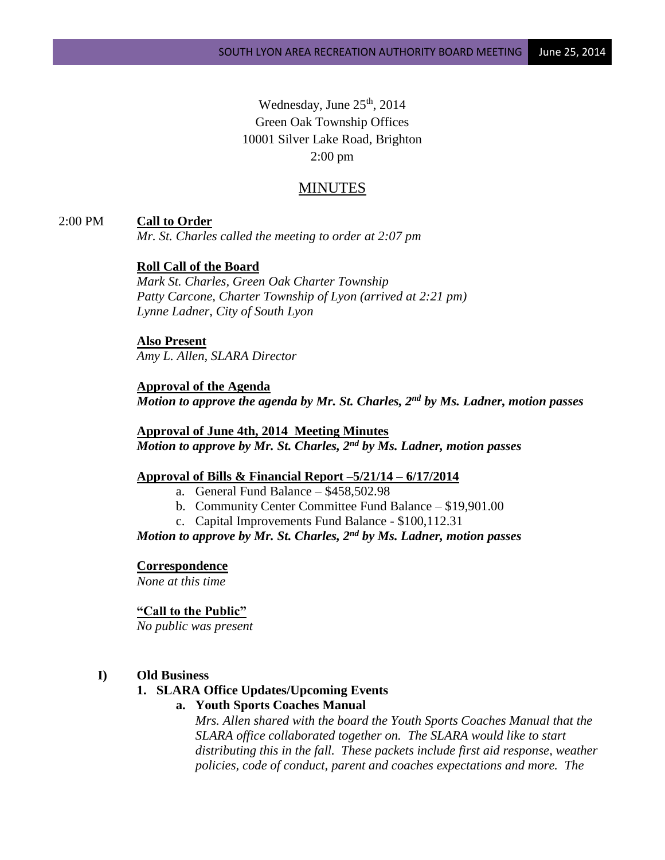Wednesday, June  $25<sup>th</sup>$ , 2014 Green Oak Township Offices 10001 Silver Lake Road, Brighton 2:00 pm

# MINUTES

# 2:00 PM **Call to Order**

*Mr. St. Charles called the meeting to order at 2:07 pm*

# **Roll Call of the Board**

*Mark St. Charles, Green Oak Charter Township Patty Carcone, Charter Township of Lyon (arrived at 2:21 pm) Lynne Ladner, City of South Lyon*

# **Also Present** *Amy L. Allen, SLARA Director*

**Approval of the Agenda** *Motion to approve the agenda by Mr. St. Charles, 2nd by Ms. Ladner, motion passes*

**Approval of June 4th, 2014 Meeting Minutes** *Motion to approve by Mr. St. Charles, 2nd by Ms. Ladner, motion passes*

### **Approval of Bills & Financial Report –5/21/14 – 6/17/2014**

- a. General Fund Balance  $-$  \$458,502.98
- b. Community Center Committee Fund Balance \$19,901.00
- c. Capital Improvements Fund Balance \$100,112.31

*Motion to approve by Mr. St. Charles, 2nd by Ms. Ladner, motion passes*

### **Correspondence**

*None at this time*

# **"Call to the Public"**

*No public was present*

### **I) Old Business**

### **1. SLARA Office Updates/Upcoming Events**

# **a. Youth Sports Coaches Manual**

*Mrs. Allen shared with the board the Youth Sports Coaches Manual that the SLARA office collaborated together on. The SLARA would like to start distributing this in the fall. These packets include first aid response, weather policies, code of conduct, parent and coaches expectations and more. The*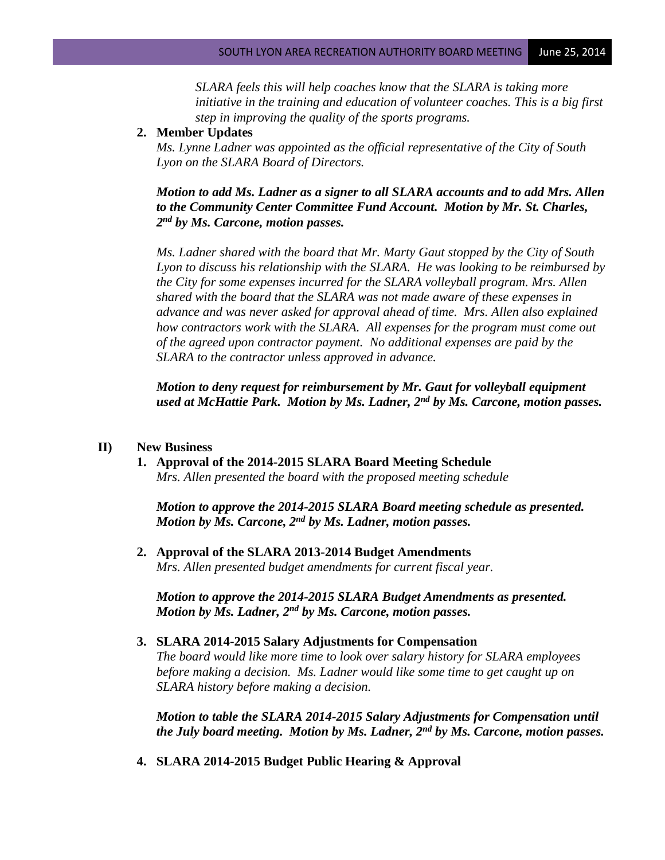*SLARA feels this will help coaches know that the SLARA is taking more initiative in the training and education of volunteer coaches. This is a big first step in improving the quality of the sports programs.* 

# **2. Member Updates**

*Ms. Lynne Ladner was appointed as the official representative of the City of South Lyon on the SLARA Board of Directors.* 

*Motion to add Ms. Ladner as a signer to all SLARA accounts and to add Mrs. Allen to the Community Center Committee Fund Account. Motion by Mr. St. Charles, 2 nd by Ms. Carcone, motion passes.*

*Ms. Ladner shared with the board that Mr. Marty Gaut stopped by the City of South Lyon to discuss his relationship with the SLARA. He was looking to be reimbursed by the City for some expenses incurred for the SLARA volleyball program. Mrs. Allen shared with the board that the SLARA was not made aware of these expenses in advance and was never asked for approval ahead of time. Mrs. Allen also explained how contractors work with the SLARA. All expenses for the program must come out of the agreed upon contractor payment. No additional expenses are paid by the SLARA to the contractor unless approved in advance.* 

*Motion to deny request for reimbursement by Mr. Gaut for volleyball equipment used at McHattie Park. Motion by Ms. Ladner, 2nd by Ms. Carcone, motion passes.*

# **II) New Business**

# **1. Approval of the 2014-2015 SLARA Board Meeting Schedule** *Mrs. Allen presented the board with the proposed meeting schedule*

*Motion to approve the 2014-2015 SLARA Board meeting schedule as presented. Motion by Ms. Carcone, 2nd by Ms. Ladner, motion passes.*

**2. Approval of the SLARA 2013-2014 Budget Amendments** *Mrs. Allen presented budget amendments for current fiscal year.*

*Motion to approve the 2014-2015 SLARA Budget Amendments as presented. Motion by Ms. Ladner, 2nd by Ms. Carcone, motion passes.*

# **3. SLARA 2014-2015 Salary Adjustments for Compensation**

*The board would like more time to look over salary history for SLARA employees before making a decision. Ms. Ladner would like some time to get caught up on SLARA history before making a decision.* 

*Motion to table the SLARA 2014-2015 Salary Adjustments for Compensation until the July board meeting. Motion by Ms. Ladner, 2nd by Ms. Carcone, motion passes.*

**4. SLARA 2014-2015 Budget Public Hearing & Approval**